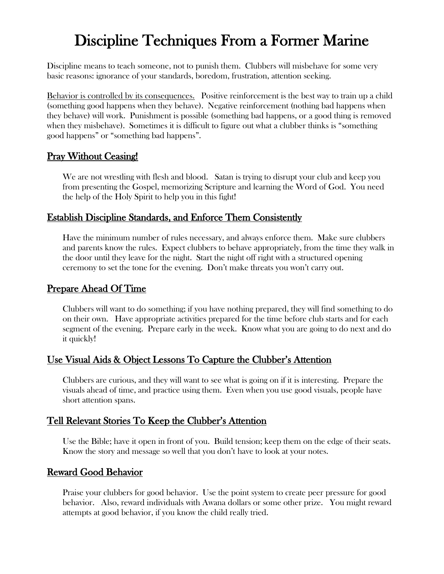# Discipline Techniques From a Former Marine

Discipline means to teach someone, not to punish them. Clubbers will misbehave for some very basic reasons: ignorance of your standards, boredom, frustration, attention seeking.

Behavior is controlled by its consequences. Positive reinforcement is the best way to train up a child (something good happens when they behave). Negative reinforcement (nothing bad happens when they behave) will work. Punishment is possible (something bad happens, or a good thing is removed when they misbehave). Sometimes it is difficult to figure out what a clubber thinks is "something good happens" or "something bad happens".

## Pray Without Ceasing!

We are not wrestling with flesh and blood. Satan is trying to disrupt your club and keep you from presenting the Gospel, memorizing Scripture and learning the Word of God. You need the help of the Holy Spirit to help you in this fight!

#### Establish Discipline Standards, and Enforce Them Consistently

Have the minimum number of rules necessary, and always enforce them. Make sure clubbers and parents know the rules. Expect clubbers to behave appropriately, from the time they walk in the door until they leave for the night. Start the night off right with a structured opening ceremony to set the tone for the evening. Don't make threats you won't carry out.

#### Prepare Ahead Of Time

Clubbers will want to do something; if you have nothing prepared, they will find something to do on their own. Have appropriate activities prepared for the time before club starts and for each segment of the evening. Prepare early in the week. Know what you are going to do next and do it quickly!

#### Use Visual Aids & Object Lessons To Capture the Clubber's Attention

Clubbers are curious, and they will want to see what is going on if it is interesting. Prepare the visuals ahead of time, and practice using them. Even when you use good visuals, people have short attention spans.

## Tell Relevant Stories To Keep the Clubber's Attention

Use the Bible; have it open in front of you. Build tension; keep them on the edge of their seats. Know the story and message so well that you don't have to look at your notes.

#### Reward Good Behavior

Praise your clubbers for good behavior. Use the point system to create peer pressure for good behavior. Also, reward individuals with Awana dollars or some other prize. You might reward attempts at good behavior, if you know the child really tried.